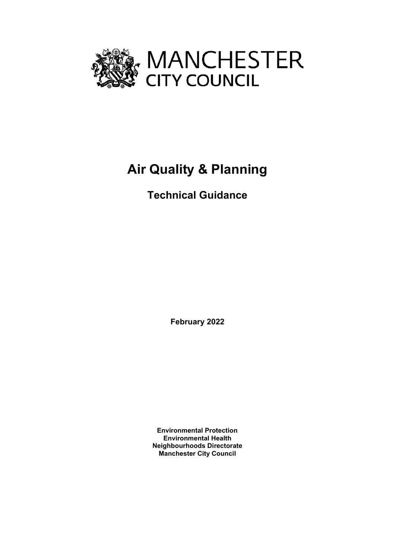

# **Air Quality & Planning**

## **Technical Guidance**

**February 2022**

**Environmental Protection Environmental Health Neighbourhoods Directorate Manchester City Council**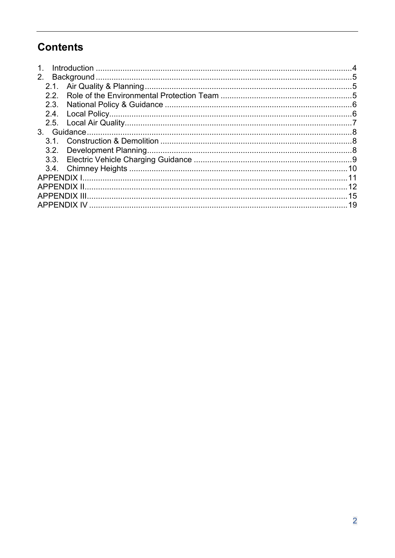## **Contents**

| $\mathbf 1$ . |  |  |
|---------------|--|--|
|               |  |  |
|               |  |  |
| 22            |  |  |
|               |  |  |
|               |  |  |
|               |  |  |
|               |  |  |
|               |  |  |
|               |  |  |
|               |  |  |
|               |  |  |
|               |  |  |
|               |  |  |
|               |  |  |
|               |  |  |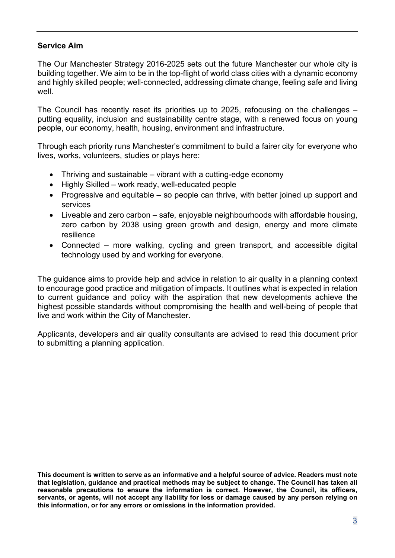#### **Service Aim**

The Our Manchester Strategy 2016-2025 sets out the future Manchester our whole city is building together. We aim to be in the top-flight of world class cities with a dynamic economy and highly skilled people; well-connected, addressing climate change, feeling safe and living well.

The Council has recently reset its priorities up to 2025, refocusing on the challenges – putting equality, inclusion and sustainability centre stage, with a renewed focus on young people, our economy, health, housing, environment and infrastructure.

Through each priority runs Manchester's commitment to build a fairer city for everyone who lives, works, volunteers, studies or plays here:

- Thriving and sustainable vibrant with a cutting-edge economy
- Highly Skilled work ready, well-educated people
- Progressive and equitable so people can thrive, with better joined up support and services
- Liveable and zero carbon safe, enjoyable neighbourhoods with affordable housing, zero carbon by 2038 using green growth and design, energy and more climate resilience
- Connected more walking, cycling and green transport, and accessible digital technology used by and working for everyone.

The guidance aims to provide help and advice in relation to air quality in a planning context to encourage good practice and mitigation of impacts. It outlines what is expected in relation to current guidance and policy with the aspiration that new developments achieve the highest possible standards without compromising the health and well-being of people that live and work within the City of Manchester.

Applicants, developers and air quality consultants are advised to read this document prior to submitting a planning application.

This document is written to serve as an informative and a helpful source of advice. Readers must note **that legislation, guidance and practical methods may be subject to change. The Council has taken all reasonable precautions to ensure the information is correct. However, the Council, its officers, servants, or agents, will not accept any liability for loss or damage caused by any person relying on this information, or for any errors or omissions in the information provided.**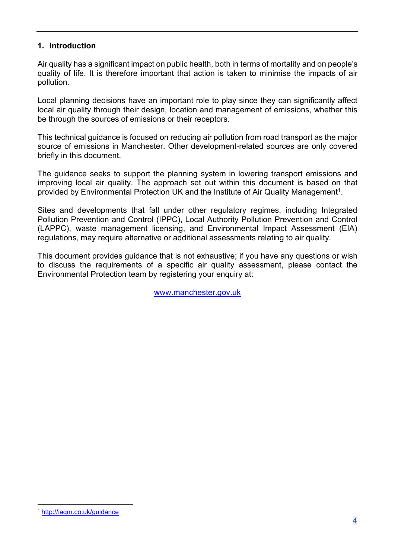#### <span id="page-3-0"></span>**1. Introduction**

Air quality has a significant impact on public health, both in terms of mortality and on people's quality of life. It is therefore important that action is taken to minimise the impacts of air pollution.

Local planning decisions have an important role to play since they can significantly affect local air quality through their design, location and management of emissions, whether this be through the sources of emissions or their receptors.

This technical guidance is focused on reducing air pollution from road transport as the major source of emissions in Manchester. Other development-related sources are only covered briefly in this document.

The guidance seeks to support the planning system in lowering transport emissions and improving local air quality. The approach set out within this document is based on that provided by Environmental Protection UK and the Institute of Air Quality Management<sup>1</sup>.

Sites and developments that fall under other regulatory regimes, including Integrated Pollution Prevention and Control (IPPC), Local Authority Pollution Prevention and Control (LAPPC), waste management licensing, and Environmental Impact Assessment (EIA) regulations, may require alternative or additional assessments relating to air quality.

This document provides guidance that is not exhaustive; if you have any questions or wish to discuss the requirements of a specific air quality assessment, please contact the Environmental Protection team by registering your enquiry at:

[www.manchester.gov.uk](http://www.manchester.gov.uk/)

<sup>1</sup> <http://iaqm.co.uk/guidance>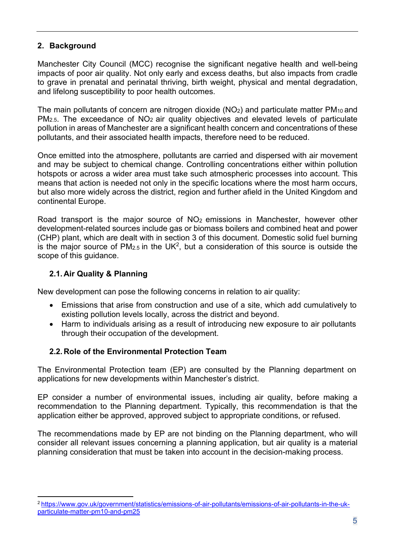## <span id="page-4-0"></span>**2. Background**

Manchester City Council (MCC) recognise the significant negative health and well-being impacts of poor air quality. Not only early and excess deaths, but also impacts from cradle to grave in prenatal and perinatal thriving, birth weight, physical and mental degradation, and lifelong susceptibility to poor health outcomes.

The main pollutants of concern are nitrogen dioxide ( $NO<sub>2</sub>$ ) and particulate matter PM<sub>10</sub> and PM<sub>2.5</sub>. The exceedance of NO<sub>2</sub> air quality objectives and elevated levels of particulate pollution in areas of Manchester are a significant health concern and concentrations of these pollutants, and their associated health impacts, therefore need to be reduced.

Once emitted into the atmosphere, pollutants are carried and dispersed with air movement and may be subject to chemical change. Controlling concentrations either within pollution hotspots or across a wider area must take such atmospheric processes into account. This means that action is needed not only in the specific locations where the most harm occurs, but also more widely across the district, region and further afield in the United Kingdom and continental Europe.

Road transport is the major source of  $NO<sub>2</sub>$  emissions in Manchester, however other development-related sources include gas or biomass boilers and combined heat and power (CHP) plant, which are dealt with in section 3 of this document. Domestic solid fuel burning is the major source of  $PM_{2.5}$  in the UK<sup>2</sup>, but a consideration of this source is outside the scope of this guidance.

#### <span id="page-4-1"></span>**2.1. Air Quality & Planning**

New development can pose the following concerns in relation to air quality:

- Emissions that arise from construction and use of a site, which add cumulatively to existing pollution levels locally, across the district and beyond.
- Harm to individuals arising as a result of introducing new exposure to air pollutants through their occupation of the development.

#### <span id="page-4-2"></span>**2.2. Role of the Environmental Protection Team**

The Environmental Protection team (EP) are consulted by the Planning department on applications for new developments within Manchester's district.

EP consider a number of environmental issues, including air quality, before making a recommendation to the Planning department. Typically, this recommendation is that the application either be approved, approved subject to appropriate conditions, or refused.

The recommendations made by EP are not binding on the Planning department, who will consider all relevant issues concerning a planning application, but air quality is a material planning consideration that must be taken into account in the decision-making process.

<sup>2</sup> <https://www.gov.uk/government/statistics/emissions-of-air-pollutants/emissions-of-air-pollutants-in-the-uk>[particulate-matter-pm10-and-pm25](https://www.gov.uk/government/statistics/emissions-of-air-pollutants/emissions-of-air-pollutants-in-the-uk-particulate-matter-pm10-and-pm25)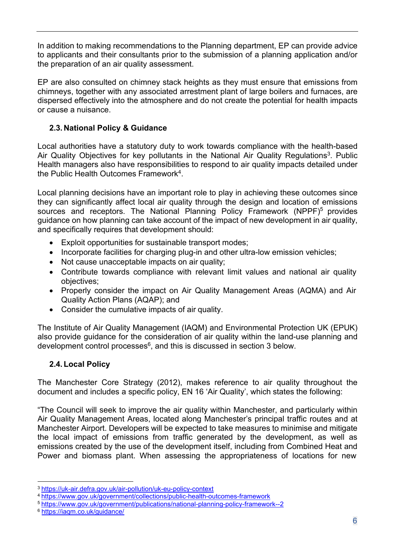In addition to making recommendations to the Planning department, EP can provide advice to applicants and their consultants prior to the submission of a planning application and/or the preparation of an air quality assessment.

EP are also consulted on chimney stack heights as they must ensure that emissions from chimneys, together with any associated arrestment plant of large boilers and furnaces, are dispersed effectively into the atmosphere and do not create the potential for health impacts or cause a nuisance.

## <span id="page-5-0"></span>**2.3. National Policy & Guidance**

Local authorities have a statutory duty to work towards compliance with the health-based Air Quality Objectives for key pollutants in the National Air Quality Regulations<sup>3</sup>. Public Health managers also have responsibilities to respond to air quality impacts detailed under the Public Health Outcomes Framework4.

Local planning decisions have an important role to play in achieving these outcomes since they can significantly affect local air quality through the design and location of emissions sources and receptors. The National Planning Policy Framework (NPPF)<sup>5</sup> provides guidance on how planning can take account of the impact of new development in air quality, and specifically requires that development should:

- Exploit opportunities for sustainable transport modes;
- Incorporate facilities for charging plug-in and other ultra-low emission vehicles;
- Not cause unacceptable impacts on air quality;
- Contribute towards compliance with relevant limit values and national air quality objectives;
- Properly consider the impact on Air Quality Management Areas (AQMA) and Air Quality Action Plans (AQAP); and
- Consider the cumulative impacts of air quality.

The Institute of Air Quality Management (IAQM) and Environmental Protection UK (EPUK) also provide guidance for the consideration of air quality within the land-use planning and development control processes<sup>6</sup>, and this is discussed in section 3 below.

## <span id="page-5-1"></span>**2.4. Local Policy**

The Manchester Core Strategy (2012), makes reference to air quality throughout the document and includes a specific policy, EN 16 'Air Quality', which states the following:

"The Council will seek to improve the air quality within Manchester, and particularly within Air Quality Management Areas, located along Manchester's principal traffic routes and at Manchester Airport. Developers will be expected to take measures to minimise and mitigate the local impact of emissions from traffic generated by the development, as well as emissions created by the use of the development itself, including from Combined Heat and Power and biomass plant. When assessing the appropriateness of locations for new

<sup>3</sup> <https://uk-air.defra.gov.uk/air-pollution/uk-eu-policy-context>

<sup>4</sup> <https://www.gov.uk/government/collections/public-health-outcomes-framework>

<sup>5</sup> <https://www.gov.uk/government/publications/national-planning-policy-framework--2>

<sup>6</sup> <https://iaqm.co.uk/guidance/>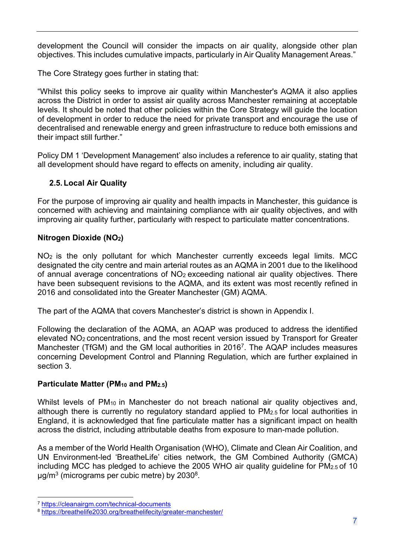development the Council will consider the impacts on air quality, alongside other plan objectives. This includes cumulative impacts, particularly in Air Quality Management Areas."

The Core Strategy goes further in stating that:

"Whilst this policy seeks to improve air quality within Manchester's AQMA it also applies across the District in order to assist air quality across Manchester remaining at acceptable levels. It should be noted that other policies within the Core Strategy will guide the location of development in order to reduce the need for private transport and encourage the use of decentralised and renewable energy and green infrastructure to reduce both emissions and their impact still further."

Policy DM 1 'Development Management' also includes a reference to air quality, stating that all development should have regard to effects on amenity, including air quality.

## <span id="page-6-0"></span>**2.5. Local Air Quality**

For the purpose of improving air quality and health impacts in Manchester, this guidance is concerned with achieving and maintaining compliance with air quality objectives, and with improving air quality further, particularly with respect to particulate matter concentrations.

#### **Nitrogen Dioxide (NO2)**

NO2 is the only pollutant for which Manchester currently exceeds legal limits. MCC designated the city centre and main arterial routes as an AQMA in 2001 due to the likelihood of annual average concentrations of NO2 exceeding national air quality objectives. There have been subsequent revisions to the AQMA, and its extent was most recently refined in 2016 and consolidated into the Greater Manchester (GM) AQMA.

The part of the AQMA that covers Manchester's district is shown in Appendix I.

Following the declaration of the AQMA, an AQAP was produced to address the identified elevated NO2 concentrations, and the most recent version issued by Transport for Greater Manchester (TfGM) and the GM local authorities in 20167. The AQAP includes measures concerning Development Control and Planning Regulation, which are further explained in section 3.

#### **Particulate Matter (PM10 and PM2.5)**

Whilst levels of PM<sub>10</sub> in Manchester do not breach national air quality objectives and, although there is currently no regulatory standard applied to PM2.5 for local authorities in England, it is acknowledged that fine particulate matter has a significant impact on health across the district, including attributable deaths from exposure to man-made pollution.

As a member of the World Health Organisation (WHO), Climate and Clean Air Coalition, and UN Environment-led 'BreatheLife' cities network, the GM Combined Authority (GMCA) including MCC has pledged to achieve the 2005 WHO air quality guideline for PM2.5 of 10  $\mu$ g/m<sup>3</sup> (micrograms per cubic metre) by 2030<sup>8</sup>.

<sup>7</sup> <https://cleanairgm.com/technical-documents>

<sup>8</sup> <https://breathelife2030.org/breathelifecity/greater-manchester/>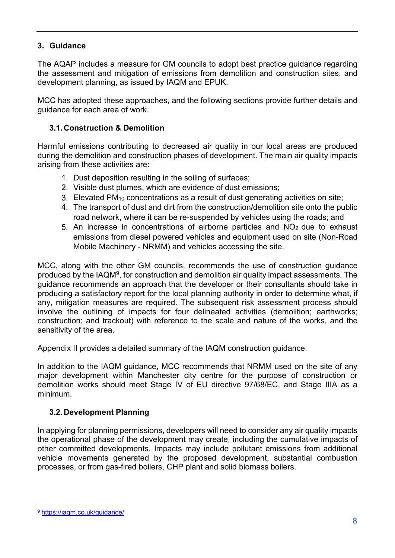## <span id="page-7-0"></span>**3. Guidance**

The AQAP includes a measure for GM councils to adopt best practice guidance regarding the assessment and mitigation of emissions from demolition and construction sites, and development planning, as issued by IAQM and EPUK.

MCC has adopted these approaches, and the following sections provide further details and guidance for each area of work.

## <span id="page-7-1"></span>**3.1. Construction & Demolition**

Harmful emissions contributing to decreased air quality in our local areas are produced during the demolition and construction phases of development. The main air quality impacts arising from these activities are:

- 1. Dust deposition resulting in the soiling of surfaces;
- 2. Visible dust plumes, which are evidence of dust emissions;
- 3. Elevated PM10 concentrations as a result of dust generating activities on site;
- 4. The transport of dust and dirt from the construction/demolition site onto the public road network, where it can be re-suspended by vehicles using the roads; and
- 5. An increase in concentrations of airborne particles and NO2 due to exhaust emissions from diesel powered vehicles and equipment used on site (Non-Road Mobile Machinery - NRMM) and vehicles accessing the site.

MCC, along with the other GM councils, recommends the use of construction guidance produced by the IAQM9, for construction and demolition air quality impact assessments. The guidance recommends an approach that the developer or their consultants should take in producing a satisfactory report for the local planning authority in order to determine what, if any, mitigation measures are required. The subsequent risk assessment process should involve the outlining of impacts for four delineated activities (demolition; earthworks; construction; and trackout) with reference to the scale and nature of the works, and the sensitivity of the area.

Appendix II provides a detailed summary of the IAQM construction guidance.

In addition to the IAQM guidance, MCC recommends that NRMM used on the site of any major development within Manchester city centre for the purpose of construction or demolition works should meet Stage IV of EU directive 97/68/EC, and Stage IIIA as a minimum.

## <span id="page-7-2"></span>**3.2. Development Planning**

In applying for planning permissions, developers will need to consider any air quality impacts the operational phase of the development may create, including the cumulative impacts of other committed developments. Impacts may include pollutant emissions from additional vehicle movements generated by the proposed development, substantial combustion processes, or from gas-fired boilers, CHP plant and solid biomass boilers.

<sup>9</sup> https://iaqm.co.uk/guidance/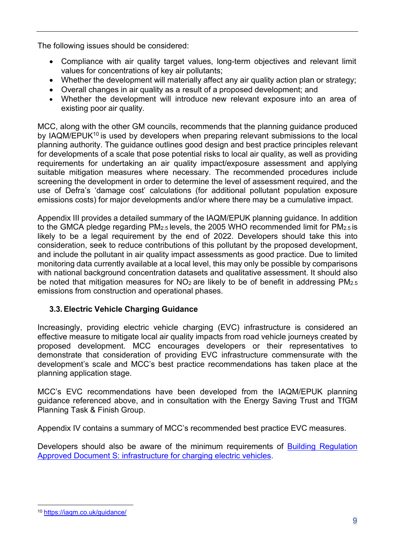The following issues should be considered:

- Compliance with air quality target values, long-term objectives and relevant limit values for concentrations of key air pollutants;
- Whether the development will materially affect any air quality action plan or strategy;
- Overall changes in air quality as a result of a proposed development; and
- Whether the development will introduce new relevant exposure into an area of existing poor air quality.

MCC, along with the other GM councils, recommends that the planning guidance produced by IAQM/EPUK<sup>10</sup> is used by developers when preparing relevant submissions to the local planning authority. The guidance outlines good design and best practice principles relevant for developments of a scale that pose potential risks to local air quality, as well as providing requirements for undertaking an air quality impact/exposure assessment and applying suitable mitigation measures where necessary. The recommended procedures include screening the development in order to determine the level of assessment required, and the use of Defra's 'damage cost' calculations (for additional pollutant population exposure emissions costs) for major developments and/or where there may be a cumulative impact.

Appendix III provides a detailed summary of the IAQM/EPUK planning guidance. In addition to the GMCA pledge regarding PM2.5 levels, the 2005 WHO recommended limit for PM2.5 is likely to be a legal requirement by the end of 2022. Developers should take this into consideration, seek to reduce contributions of this pollutant by the proposed development, and include the pollutant in air quality impact assessments as good practice. Due to limited monitoring data currently available at a local level, this may only be possible by comparisons with national background concentration datasets and qualitative assessment. It should also be noted that mitigation measures for NO<sub>2</sub> are likely to be of benefit in addressing PM<sub>2.5</sub> emissions from construction and operational phases.

## <span id="page-8-0"></span>**3.3. Electric Vehicle Charging Guidance**

Increasingly, providing electric vehicle charging (EVC) infrastructure is considered an effective measure to mitigate local air quality impacts from road vehicle journeys created by proposed development. MCC encourages developers or their representatives to demonstrate that consideration of providing EVC infrastructure commensurate with the development's scale and MCC's best practice recommendations has taken place at the planning application stage.

MCC's EVC recommendations have been developed from the IAQM/EPUK planning guidance referenced above, and in consultation with the Energy Saving Trust and TfGM Planning Task & Finish Group.

Appendix IV contains a summary of MCC's recommended best practice EVC measures.

Developers should also be aware of the minimum requirements of Building Regulation Approved Document S: infrastructure for charging electric vehicles.

<sup>10</sup> https://iaqm.co.uk/guidance/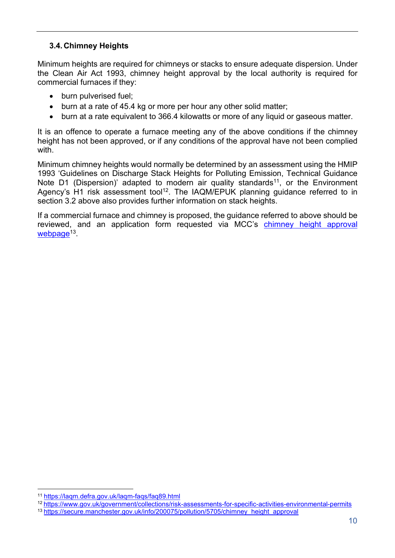#### <span id="page-9-0"></span>**3.4. Chimney Heights**

Minimum heights are required for chimneys or stacks to ensure adequate dispersion. Under the Clean Air Act 1993, chimney height approval by the local authority is required for commercial furnaces if they:

- burn pulverised fuel;
- burn at a rate of 45.4 kg or more per hour any other solid matter;
- burn at a rate equivalent to 366.4 kilowatts or more of any liquid or gaseous matter.

It is an offence to operate a furnace meeting any of the above conditions if the chimney height has not been approved, or if any conditions of the approval have not been complied with.

Minimum chimney heights would normally be determined by an assessment using the HMIP 1993 'Guidelines on Discharge Stack Heights for Polluting Emission, Technical Guidance Note D1 (Dispersion)' adapted to modern air quality standards<sup>11</sup>, or the Environment Agency's H1 risk assessment tool<sup>12</sup>. The IAQM/EPUK planning guidance referred to in section 3.2 above also provides further information on stack heights.

If a commercial furnace and chimney is proposed, the guidance referred to above should be reviewed, and an application form requested via MCC's chimney height [approval](https://secure.manchester.gov.uk/info/200075/pollution/5705/chimney_height_approval) webpage<sup>13</sup>.

<sup>11</sup> <https://laqm.defra.gov.uk/laqm-faqs/faq89.html>

<sup>12</sup> <https://www.gov.uk/government/collections/risk-assessments-for-specific-activities-environmental-permits>

<sup>13</sup> [https://secure.manchester.gov.uk/info/200075/pollution/5705/chimney\\_height\\_approval](https://secure.manchester.gov.uk/info/200075/pollution/5705/chimney_height_approval)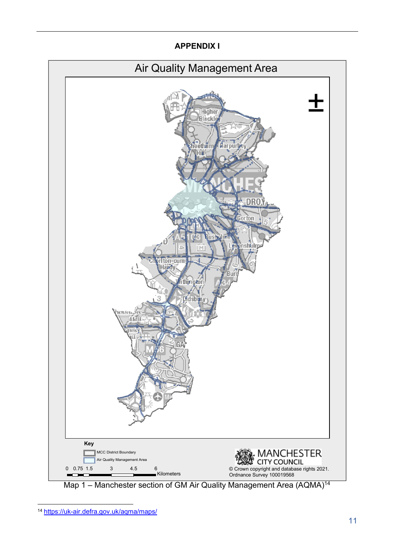## **APPENDIX I**

<span id="page-10-0"></span>

Map 1 – Manchester section of GM Air Quality Management Area (AQMA)<sup>14</sup>

<sup>14</sup> <https://uk-air.defra.gov.uk/aqma/maps/>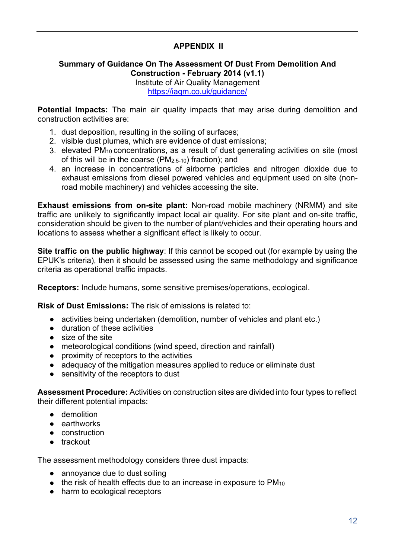## **APPENDIX II**

#### <span id="page-11-0"></span>**Summary of Guidance On The Assessment Of Dust From Demolition And Construction - February 2014 (v1.1)**

Institute of Air Quality Management <https://iaqm.co.uk/guidance/>

**Potential Impacts:** The main air quality impacts that may arise during demolition and construction activities are:

- 1. dust deposition, resulting in the soiling of surfaces;
- 2. visible dust plumes, which are evidence of dust emissions;
- 3. elevated PM10 concentrations, as a result of dust generating activities on site (most of this will be in the coarse (PM2.5-10) fraction); and
- 4. an increase in concentrations of airborne particles and nitrogen dioxide due to exhaust emissions from diesel powered vehicles and equipment used on site (nonroad mobile machinery) and vehicles accessing the site.

**Exhaust emissions from on-site plant:** Non-road mobile machinery (NRMM) and site traffic are unlikely to significantly impact local air quality. For site plant and on-site traffic, consideration should be given to the number of plant/vehicles and their operating hours and locations to assess whether a significant effect is likely to occur.

**Site traffic on the public highway**: If this cannot be scoped out (for example by using the EPUK's criteria), then it should be assessed using the same methodology and significance criteria as operational traffic impacts.

**Receptors:** Include humans, some sensitive premises/operations, ecological.

**Risk of Dust Emissions:** The risk of emissions is related to:

- activities being undertaken (demolition, number of vehicles and plant etc.)
- duration of these activities
- size of the site
- meteorological conditions (wind speed, direction and rainfall)
- proximity of receptors to the activities
- adequacy of the mitigation measures applied to reduce or eliminate dust
- sensitivity of the receptors to dust

**Assessment Procedure:** Activities on construction sites are divided into four types to reflect their different potential impacts:

- demolition
- earthworks
- construction
- trackout

The assessment methodology considers three dust impacts:

- annoyance due to dust soiling
- $\bullet$  the risk of health effects due to an increase in exposure to PM<sub>10</sub>
- harm to ecological receptors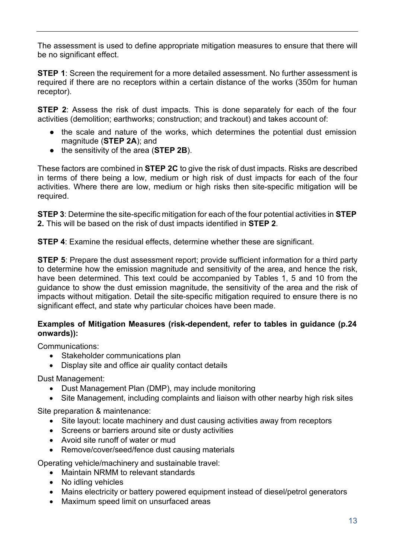The assessment is used to define appropriate mitigation measures to ensure that there will be no significant effect.

**STEP 1**: Screen the requirement for a more detailed assessment. No further assessment is required if there are no receptors within a certain distance of the works (350m for human receptor).

**STEP 2:** Assess the risk of dust impacts. This is done separately for each of the four activities (demolition; earthworks; construction; and trackout) and takes account of:

- the scale and nature of the works, which determines the potential dust emission magnitude (**STEP 2A**); and
- the sensitivity of the area (**STEP 2B**).

These factors are combined in **STEP 2C** to give the risk of dust impacts. Risks are described in terms of there being a low, medium or high risk of dust impacts for each of the four activities. Where there are low, medium or high risks then site-specific mitigation will be required.

**STEP 3**: Determine the site-specific mitigation for each of the four potential activities in **STEP 2.** This will be based on the risk of dust impacts identified in **STEP 2**.

**STEP 4**: Examine the residual effects, determine whether these are significant.

**STEP 5:** Prepare the dust assessment report; provide sufficient information for a third party to determine how the emission magnitude and sensitivity of the area, and hence the risk, have been determined. This text could be accompanied by Tables 1, 5 and 10 from the guidance to show the dust emission magnitude, the sensitivity of the area and the risk of impacts without mitigation. Detail the site-specific mitigation required to ensure there is no significant effect, and state why particular choices have been made.

#### **Examples of Mitigation Measures (risk-dependent, refer to tables in guidance (p.24 onwards)):**

Communications:

- Stakeholder communications plan
- Display site and office air quality contact details

Dust Management:

- Dust Management Plan (DMP), may include monitoring
- Site Management, including complaints and liaison with other nearby high risk sites

Site preparation & maintenance:

- Site layout: locate machinery and dust causing activities away from receptors
- Screens or barriers around site or dusty activities
- Avoid site runoff of water or mud
- Remove/cover/seed/fence dust causing materials

Operating vehicle/machinery and sustainable travel:

- Maintain NRMM to relevant standards
- No idling vehicles
- Mains electricity or battery powered equipment instead of diesel/petrol generators
- Maximum speed limit on unsurfaced areas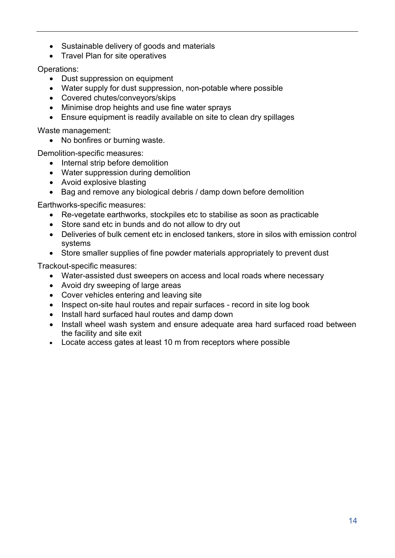- Sustainable delivery of goods and materials
- Travel Plan for site operatives

Operations:

- Dust suppression on equipment
- Water supply for dust suppression, non-potable where possible
- Covered chutes/conveyors/skips
- Minimise drop heights and use fine water sprays
- Ensure equipment is readily available on site to clean dry spillages

Waste management:

• No bonfires or burning waste.

Demolition-specific measures:

- Internal strip before demolition
- Water suppression during demolition
- Avoid explosive blasting
- Bag and remove any biological debris / damp down before demolition

Earthworks-specific measures:

- Re-vegetate earthworks, stockpiles etc to stabilise as soon as practicable
- Store sand etc in bunds and do not allow to dry out
- Deliveries of bulk cement etc in enclosed tankers, store in silos with emission control systems
- Store smaller supplies of fine powder materials appropriately to prevent dust

Trackout-specific measures:

- Water-assisted dust sweepers on access and local roads where necessary
- Avoid dry sweeping of large areas
- Cover vehicles entering and leaving site
- Inspect on-site haul routes and repair surfaces record in site log book
- Install hard surfaced haul routes and damp down
- Install wheel wash system and ensure adequate area hard surfaced road between the facility and site exit
- Locate access gates at least 10 m from receptors where possible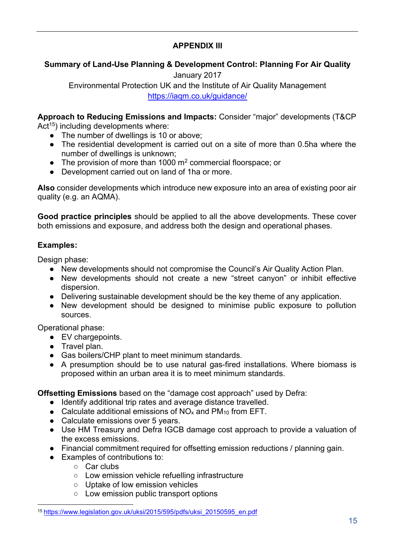## **APPENDIX III**

## <span id="page-14-0"></span>**Summary of Land-Use Planning & Development Control: Planning For Air Quality**

January 2017 Environmental Protection UK and the Institute of Air Quality Management <https://iaqm.co.uk/guidance/>

**Approach to Reducing Emissions and Impacts:** Consider "major" developments (T&CP  $Act^{15})$  including developments where:

- $\bullet$  The number of dwellings is 10 or above;
- The residential development is carried out on a site of more than 0.5ha where the number of dwellings is unknown;
- The provision of more than 1000  $m^2$  commercial floorspace; or
- Development carried out on land of 1ha or more.

**Also** consider developments which introduce new exposure into an area of existing poor air quality (e.g. an AQMA).

**Good practice principles** should be applied to all the above developments. These cover both emissions and exposure, and address both the design and operational phases.

#### **Examples:**

Design phase:

- New developments should not compromise the Council's Air Quality Action Plan.
- New developments should not create a new "street canyon" or inhibit effective dispersion.
- Delivering sustainable development should be the key theme of any application.
- New development should be designed to minimise public exposure to pollution sources.

Operational phase:

- EV chargepoints.
- Travel plan.
- Gas boilers/CHP plant to meet minimum standards.
- A presumption should be to use natural gas-fired installations. Where biomass is proposed within an urban area it is to meet minimum standards.

**Offsetting Emissions** based on the "damage cost approach" used by Defra:

- Identify additional trip rates and average distance travelled.
- Calculate additional emissions of  $NO<sub>x</sub>$  and  $PM<sub>10</sub>$  from EFT.
- Calculate emissions over 5 years.
- Use HM Treasury and Defra IGCB damage cost approach to provide a valuation of the excess emissions.
- Financial commitment required for offsetting emission reductions / planning gain.
- Examples of contributions to:
	- Car clubs
	- Low emission vehicle refuelling infrastructure
	- Uptake of low emission vehicles
	- Low emission public transport options

<sup>15</sup> [https://www.legislation.gov.uk/uksi/2015/595/pdfs/uksi\\_20150595\\_en.pdf](https://www.legislation.gov.uk/uksi/2015/595/pdfs/uksi_20150595_en.pdf)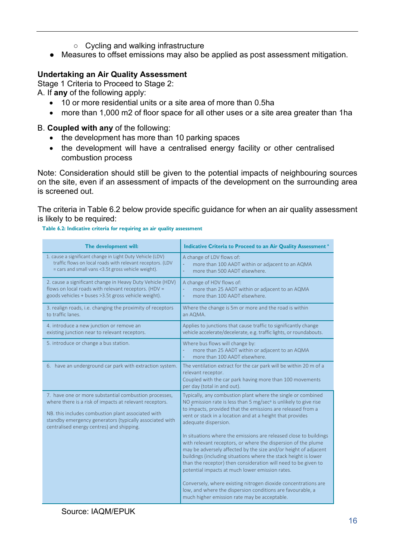- Cycling and walking infrastructure
- Measures to offset emissions may also be applied as post assessment mitigation.

## **Undertaking an Air Quality Assessment**

Stage 1 Criteria to Proceed to Stage 2:

A. If **any** of the following apply:

- 10 or more residential units or a site area of more than 0.5ha
- more than 1,000 m2 of floor space for all other uses or a site area greater than 1ha

#### B. **Coupled with any** of the following:

- the development has more than 10 parking spaces
- the development will have a centralised energy facility or other centralised combustion process

Note: Consideration should still be given to the potential impacts of neighbouring sources on the site, even if an assessment of impacts of the development on the surrounding area is screened out.

The criteria in Table 6.2 below provide specific guidance for when an air quality assessment is likely to be required:

#### **Table 6.2: Indicative criteria for requiring an air quality assessment**

| The development will:                                                                                                                                                                                                                                                          | Indicative Criteria to Proceed to an Air Quality Assessment <sup>a</sup>                                                                                                                                                                                                                                                                                                                                                               |  |
|--------------------------------------------------------------------------------------------------------------------------------------------------------------------------------------------------------------------------------------------------------------------------------|----------------------------------------------------------------------------------------------------------------------------------------------------------------------------------------------------------------------------------------------------------------------------------------------------------------------------------------------------------------------------------------------------------------------------------------|--|
| 1. cause a significant change in Light Duty Vehicle (LDV)<br>traffic flows on local roads with relevant receptors. (LDV<br>= cars and small vans <3.5t gross vehicle weight).                                                                                                  | A change of LDV flows of:<br>more than 100 AADT within or adjacent to an AQMA<br>more than 500 AADT elsewhere.                                                                                                                                                                                                                                                                                                                         |  |
| 2. cause a significant change in Heavy Duty Vehicle (HDV)<br>flows on local roads with relevant receptors. (HDV =<br>goods vehicles + buses > 3.5t gross vehicle weight).                                                                                                      | A change of HDV flows of:<br>more than 25 AADT within or adjacent to an AQMA<br>more than 100 AADT elsewhere.                                                                                                                                                                                                                                                                                                                          |  |
| 3. realign roads, i.e. changing the proximity of receptors<br>to traffic lanes.                                                                                                                                                                                                | Where the change is 5m or more and the road is within<br>an AQMA.                                                                                                                                                                                                                                                                                                                                                                      |  |
| 4. introduce a new junction or remove an<br>existing junction near to relevant receptors.                                                                                                                                                                                      | Applies to junctions that cause traffic to significantly change<br>vehicle accelerate/decelerate, e.g. traffic lights, or roundabouts.                                                                                                                                                                                                                                                                                                 |  |
| 5. introduce or change a bus station.                                                                                                                                                                                                                                          | Where bus flows will change by:<br>more than 25 AADT within or adjacent to an AQMA<br>÷,<br>more than 100 AADT elsewhere.<br>÷,                                                                                                                                                                                                                                                                                                        |  |
| 6. have an underground car park with extraction system.                                                                                                                                                                                                                        | The ventilation extract for the car park will be within 20 m of a<br>relevant receptor.<br>Coupled with the car park having more than 100 movements<br>per day (total in and out).                                                                                                                                                                                                                                                     |  |
| 7. have one or more substantial combustion processes,<br>where there is a risk of impacts at relevant receptors.<br>NB. this includes combustion plant associated with<br>standby emergency generators (typically associated with<br>centralised energy centres) and shipping. | Typically, any combustion plant where the single or combined<br>NO emission rate is less than 5 mg/sec <sup>a</sup> is unlikely to give rise<br>to impacts, provided that the emissions are released from a<br>vent or stack in a location and at a height that provides<br>adequate dispersion.<br>In situations where the emissions are released close to buildings<br>with relevant receptors, or where the dispersion of the plume |  |
|                                                                                                                                                                                                                                                                                | may be adversely affected by the size and/or height of adjacent<br>buildings (including situations where the stack height is lower<br>than the receptor) then consideration will need to be given to<br>potential impacts at much lower emission rates.                                                                                                                                                                                |  |
|                                                                                                                                                                                                                                                                                | Conversely, where existing nitrogen dioxide concentrations are<br>low, and where the dispersion conditions are favourable, a<br>much higher emission rate may be acceptable.                                                                                                                                                                                                                                                           |  |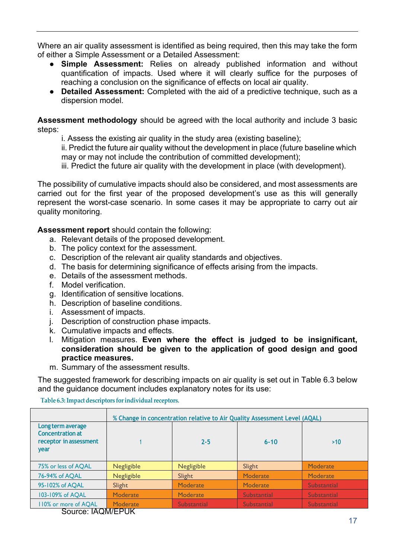Where an air quality assessment is identified as being required, then this may take the form of either a Simple Assessment or a Detailed Assessment:

- **Simple Assessment:** Relies on already published information and without quantification of impacts. Used where it will clearly suffice for the purposes of reaching a conclusion on the significance of effects on local air quality.
- **Detailed Assessment:** Completed with the aid of a predictive technique, such as a dispersion model.

**Assessment methodology** should be agreed with the local authority and include 3 basic steps:

i. Assess the existing air quality in the study area (existing baseline);

ii. Predict the future air quality without the development in place (future baseline which may or may not include the contribution of committed development);

iii. Predict the future air quality with the development in place (with development).

The possibility of cumulative impacts should also be considered, and most assessments are carried out for the first year of the proposed development's use as this will generally represent the worst-case scenario. In some cases it may be appropriate to carry out air quality monitoring.

**Assessment report** should contain the following:

- a. Relevant details of the proposed development.
- b. The policy context for the assessment.
- c. Description of the relevant air quality standards and objectives.
- d. The basis for determining significance of effects arising from the impacts.
- e. Details of the assessment methods.
- f. Model verification.
- g. Identification of sensitive locations.
- h. Description of baseline conditions.
- i. Assessment of impacts.
- j. Description of construction phase impacts.
- k. Cumulative impacts and effects.
- l. Mitigation measures. **Even where the effect is judged to be insignificant, consideration should be given to the application of good design and good practice measures.**
- m. Summary of the assessment results.

The suggested framework for describing impacts on air quality is set out in Table 6.3 below and the guidance document includes explanatory notes for its use:

**Table 6.3:Impact descriptors forindividualreceptors.**

|                                                                                | % Change in concentration relative to Air Quality Assessment Level (AQAL) |                    |                    |                    |  |
|--------------------------------------------------------------------------------|---------------------------------------------------------------------------|--------------------|--------------------|--------------------|--|
| Long term average<br><b>Concentration at</b><br>receptor in assessment<br>year |                                                                           | $2 - 5$            | $6 - 10$           | >10                |  |
| 75% or less of AQAL                                                            | <b>Negligible</b>                                                         | <b>Negligible</b>  | Slight             | Moderate           |  |
| 76-94% of AQAL                                                                 | <b>Negligible</b>                                                         | Slight             | Moderate           | Moderate           |  |
| 95-102% of AQAL                                                                | Slight                                                                    | Moderate           | Moderate           | <b>Substantial</b> |  |
| 103-109% of AQAL                                                               | Moderate                                                                  | Moderate           | <b>Substantial</b> | <b>Substantial</b> |  |
| 110% or more of AQAL                                                           | <b>Moderate</b><br>110111777117                                           | <b>Substantial</b> | <b>Substantial</b> | <b>Substantial</b> |  |

Source: IAQM/EPUK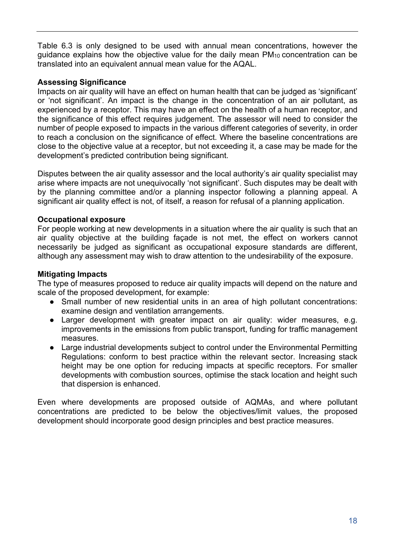Table 6.3 is only designed to be used with annual mean concentrations, however the guidance explains how the objective value for the daily mean PM10 concentration can be translated into an equivalent annual mean value for the AQAL.

#### **Assessing Significance**

Impacts on air quality will have an effect on human health that can be judged as 'significant' or 'not significant'. An impact is the change in the concentration of an air pollutant, as experienced by a receptor. This may have an effect on the health of a human receptor, and the significance of this effect requires judgement. The assessor will need to consider the number of people exposed to impacts in the various different categories of severity, in order to reach a conclusion on the significance of effect. Where the baseline concentrations are close to the objective value at a receptor, but not exceeding it, a case may be made for the development's predicted contribution being significant.

Disputes between the air quality assessor and the local authority's air quality specialist may arise where impacts are not unequivocally 'not significant'. Such disputes may be dealt with by the planning committee and/or a planning inspector following a planning appeal. A significant air quality effect is not, of itself, a reason for refusal of a planning application.

#### **Occupational exposure**

For people working at new developments in a situation where the air quality is such that an air quality objective at the building façade is not met, the effect on workers cannot necessarily be judged as significant as occupational exposure standards are different, although any assessment may wish to draw attention to the undesirability of the exposure.

#### **Mitigating Impacts**

The type of measures proposed to reduce air quality impacts will depend on the nature and scale of the proposed development, for example:

- Small number of new residential units in an area of high pollutant concentrations: examine design and ventilation arrangements.
- Larger development with greater impact on air quality: wider measures, e.g. improvements in the emissions from public transport, funding for traffic management measures.
- Large industrial developments subject to control under the Environmental Permitting Regulations: conform to best practice within the relevant sector. Increasing stack height may be one option for reducing impacts at specific receptors. For smaller developments with combustion sources, optimise the stack location and height such that dispersion is enhanced.

Even where developments are proposed outside of AQMAs, and where pollutant concentrations are predicted to be below the objectives/limit values, the proposed development should incorporate good design principles and best practice measures.